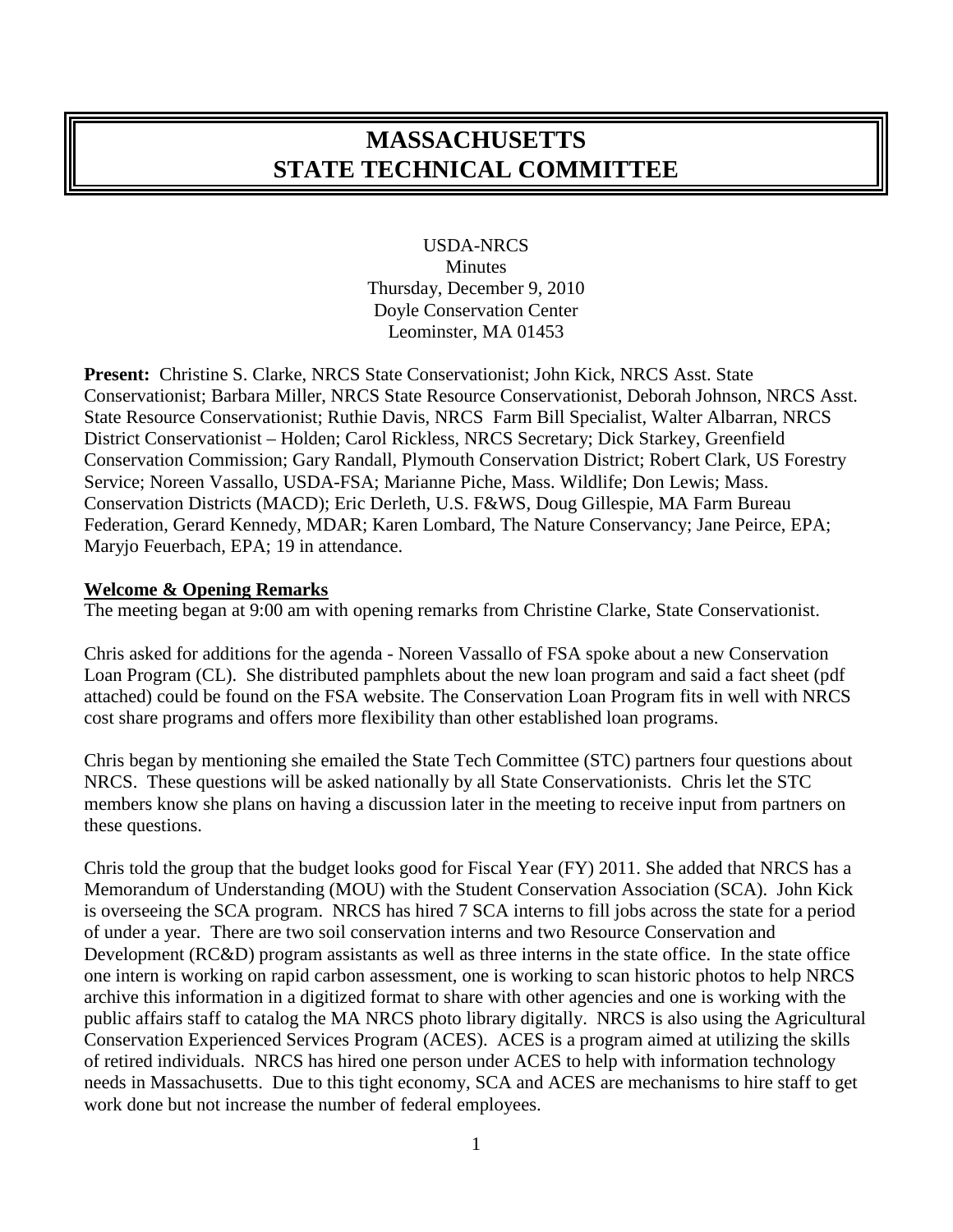# **MASSACHUSETTS STATE TECHNICAL COMMITTEE**

USDA-NRCS Minutes Thursday, December 9, 2010 Doyle Conservation Center Leominster, MA 01453

**Present:** Christine S. Clarke, NRCS State Conservationist; John Kick, NRCS Asst. State Conservationist; Barbara Miller, NRCS State Resource Conservationist, Deborah Johnson, NRCS Asst. State Resource Conservationist; Ruthie Davis, NRCS Farm Bill Specialist, Walter Albarran, NRCS District Conservationist – Holden; Carol Rickless, NRCS Secretary; Dick Starkey, Greenfield Conservation Commission; Gary Randall, Plymouth Conservation District; Robert Clark, US Forestry Service; Noreen Vassallo, USDA-FSA; Marianne Piche, Mass. Wildlife; Don Lewis; Mass. Conservation Districts (MACD); Eric Derleth, U.S. F&WS, Doug Gillespie, MA Farm Bureau Federation, Gerard Kennedy, MDAR; Karen Lombard, The Nature Conservancy; Jane Peirce, EPA; Maryjo Feuerbach, EPA; 19 in attendance.

#### **Welcome & Opening Remarks**

The meeting began at 9:00 am with opening remarks from Christine Clarke, State Conservationist.

Chris asked for additions for the agenda - Noreen Vassallo of FSA spoke about a new Conservation Loan Program (CL). She distributed pamphlets about the new loan program and said a fact sheet (pdf attached) could be found on the FSA website. The Conservation Loan Program fits in well with NRCS cost share programs and offers more flexibility than other established loan programs.

Chris began by mentioning she emailed the State Tech Committee (STC) partners four questions about NRCS. These questions will be asked nationally by all State Conservationists. Chris let the STC members know she plans on having a discussion later in the meeting to receive input from partners on these questions.

Chris told the group that the budget looks good for Fiscal Year (FY) 2011. She added that NRCS has a Memorandum of Understanding (MOU) with the Student Conservation Association (SCA). John Kick is overseeing the SCA program. NRCS has hired 7 SCA interns to fill jobs across the state for a period of under a year. There are two soil conservation interns and two Resource Conservation and Development (RC&D) program assistants as well as three interns in the state office. In the state office one intern is working on rapid carbon assessment, one is working to scan historic photos to help NRCS archive this information in a digitized format to share with other agencies and one is working with the public affairs staff to catalog the MA NRCS photo library digitally. NRCS is also using the Agricultural Conservation Experienced Services Program (ACES). ACES is a program aimed at utilizing the skills of retired individuals. NRCS has hired one person under ACES to help with information technology needs in Massachusetts. Due to this tight economy, SCA and ACES are mechanisms to hire staff to get work done but not increase the number of federal employees.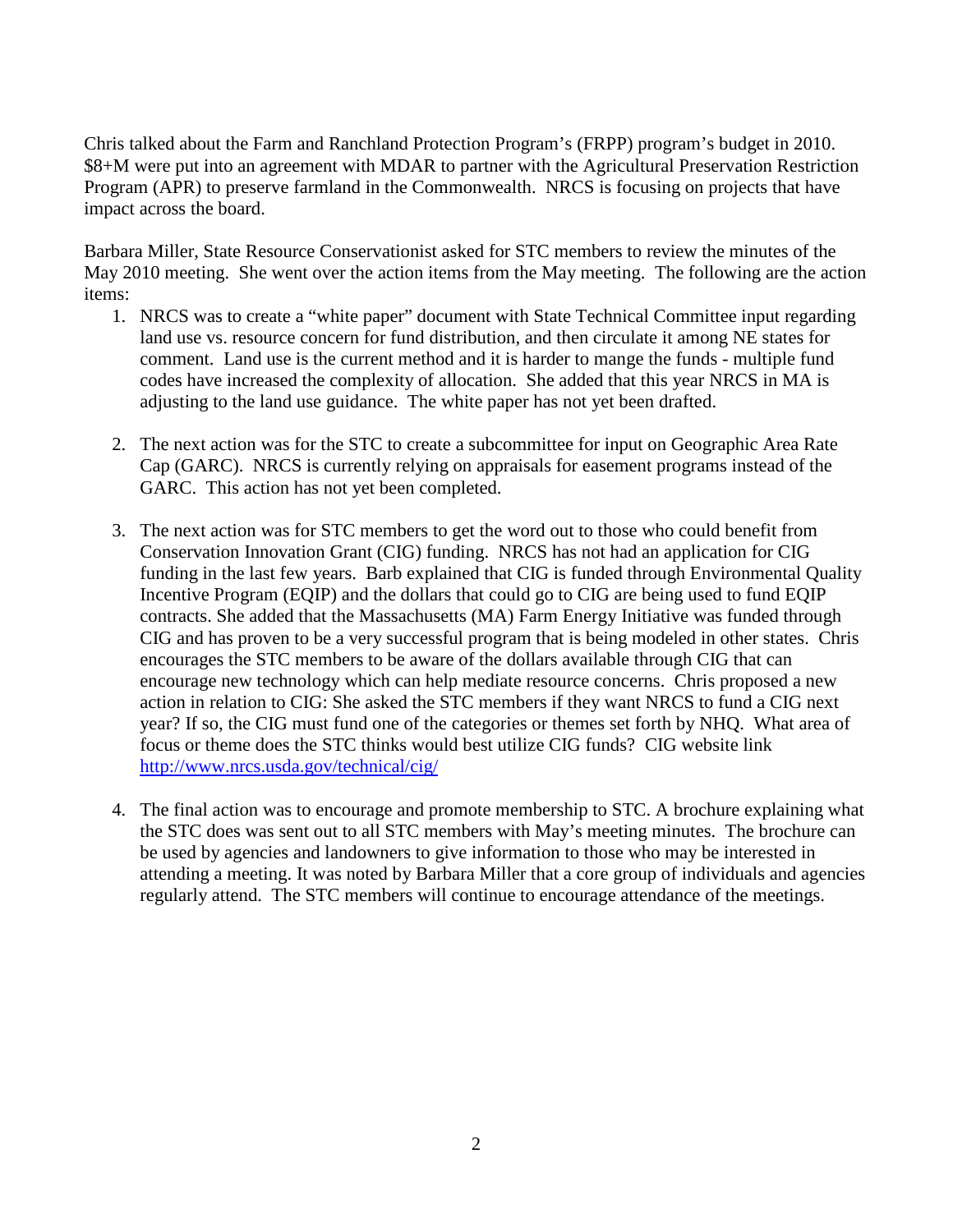Chris talked about the Farm and Ranchland Protection Program's (FRPP) program's budget in 2010. \$8+M were put into an agreement with MDAR to partner with the Agricultural Preservation Restriction Program (APR) to preserve farmland in the Commonwealth. NRCS is focusing on projects that have impact across the board.

Barbara Miller, State Resource Conservationist asked for STC members to review the minutes of the May 2010 meeting. She went over the action items from the May meeting. The following are the action items:

- 1. NRCS was to create a "white paper" document with State Technical Committee input regarding land use vs. resource concern for fund distribution, and then circulate it among NE states for comment. Land use is the current method and it is harder to mange the funds - multiple fund codes have increased the complexity of allocation. She added that this year NRCS in MA is adjusting to the land use guidance. The white paper has not yet been drafted.
- 2. The next action was for the STC to create a subcommittee for input on Geographic Area Rate Cap (GARC). NRCS is currently relying on appraisals for easement programs instead of the GARC. This action has not yet been completed.
- 3. The next action was for STC members to get the word out to those who could benefit from Conservation Innovation Grant (CIG) funding. NRCS has not had an application for CIG funding in the last few years. Barb explained that CIG is funded through Environmental Quality Incentive Program (EQIP) and the dollars that could go to CIG are being used to fund EQIP contracts. She added that the Massachusetts (MA) Farm Energy Initiative was funded through CIG and has proven to be a very successful program that is being modeled in other states. Chris encourages the STC members to be aware of the dollars available through CIG that can encourage new technology which can help mediate resource concerns. Chris proposed a new action in relation to CIG: She asked the STC members if they want NRCS to fund a CIG next year? If so, the CIG must fund one of the categories or themes set forth by NHQ. What area of focus or theme does the STC thinks would best utilize CIG funds? CIG website link <http://www.nrcs.usda.gov/technical/cig/>
- 4. The final action was to encourage and promote membership to STC. A brochure explaining what the STC does was sent out to all STC members with May's meeting minutes. The brochure can be used by agencies and landowners to give information to those who may be interested in attending a meeting. It was noted by Barbara Miller that a core group of individuals and agencies regularly attend. The STC members will continue to encourage attendance of the meetings.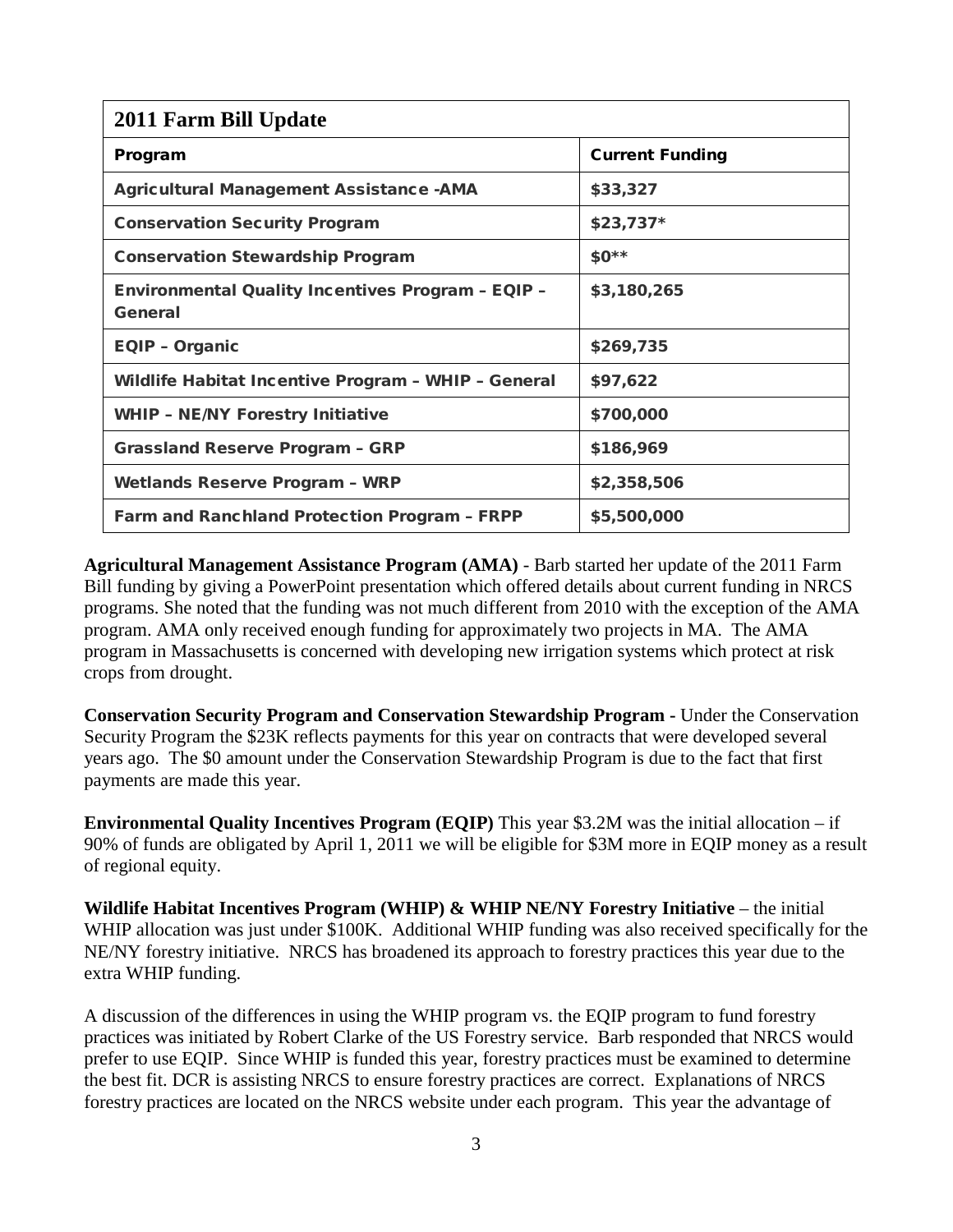| 2011 Farm Bill Update                                               |                        |  |  |
|---------------------------------------------------------------------|------------------------|--|--|
| Program                                                             | <b>Current Funding</b> |  |  |
| <b>Agricultural Management Assistance - AMA</b>                     | \$33,327               |  |  |
| <b>Conservation Security Program</b>                                | $$23,737*$             |  |  |
| <b>Conservation Stewardship Program</b>                             | $$0**$                 |  |  |
| <b>Environmental Quality Incentives Program - EQIP -</b><br>General | \$3,180,265            |  |  |
| <b>EQIP - Organic</b>                                               | \$269,735              |  |  |
| Wildlife Habitat Incentive Program - WHIP - General                 | \$97,622               |  |  |
| <b>WHIP - NE/NY Forestry Initiative</b>                             | \$700,000              |  |  |
| <b>Grassland Reserve Program - GRP</b>                              | \$186,969              |  |  |
| <b>Wetlands Reserve Program - WRP</b>                               | \$2,358,506            |  |  |
| <b>Farm and Ranchland Protection Program - FRPP</b>                 | \$5,500,000            |  |  |

**Agricultural Management Assistance Program (AMA)** - Barb started her update of the 2011 Farm Bill funding by giving a PowerPoint presentation which offered details about current funding in NRCS programs. She noted that the funding was not much different from 2010 with the exception of the AMA program. AMA only received enough funding for approximately two projects in MA. The AMA program in Massachusetts is concerned with developing new irrigation systems which protect at risk crops from drought.

**Conservation Security Program and Conservation Stewardship Program -** Under the Conservation Security Program the \$23K reflects payments for this year on contracts that were developed several years ago. The \$0 amount under the Conservation Stewardship Program is due to the fact that first payments are made this year.

**Environmental Quality Incentives Program (EQIP)** This year \$3.2M was the initial allocation – if 90% of funds are obligated by April 1, 2011 we will be eligible for \$3M more in EQIP money as a result of regional equity.

**Wildlife Habitat Incentives Program (WHIP) & WHIP NE/NY Forestry Initiative** – the initial WHIP allocation was just under \$100K. Additional WHIP funding was also received specifically for the NE/NY forestry initiative. NRCS has broadened its approach to forestry practices this year due to the extra WHIP funding.

A discussion of the differences in using the WHIP program vs. the EQIP program to fund forestry practices was initiated by Robert Clarke of the US Forestry service. Barb responded that NRCS would prefer to use EQIP. Since WHIP is funded this year, forestry practices must be examined to determine the best fit. DCR is assisting NRCS to ensure forestry practices are correct. Explanations of NRCS forestry practices are located on the NRCS website under each program. This year the advantage of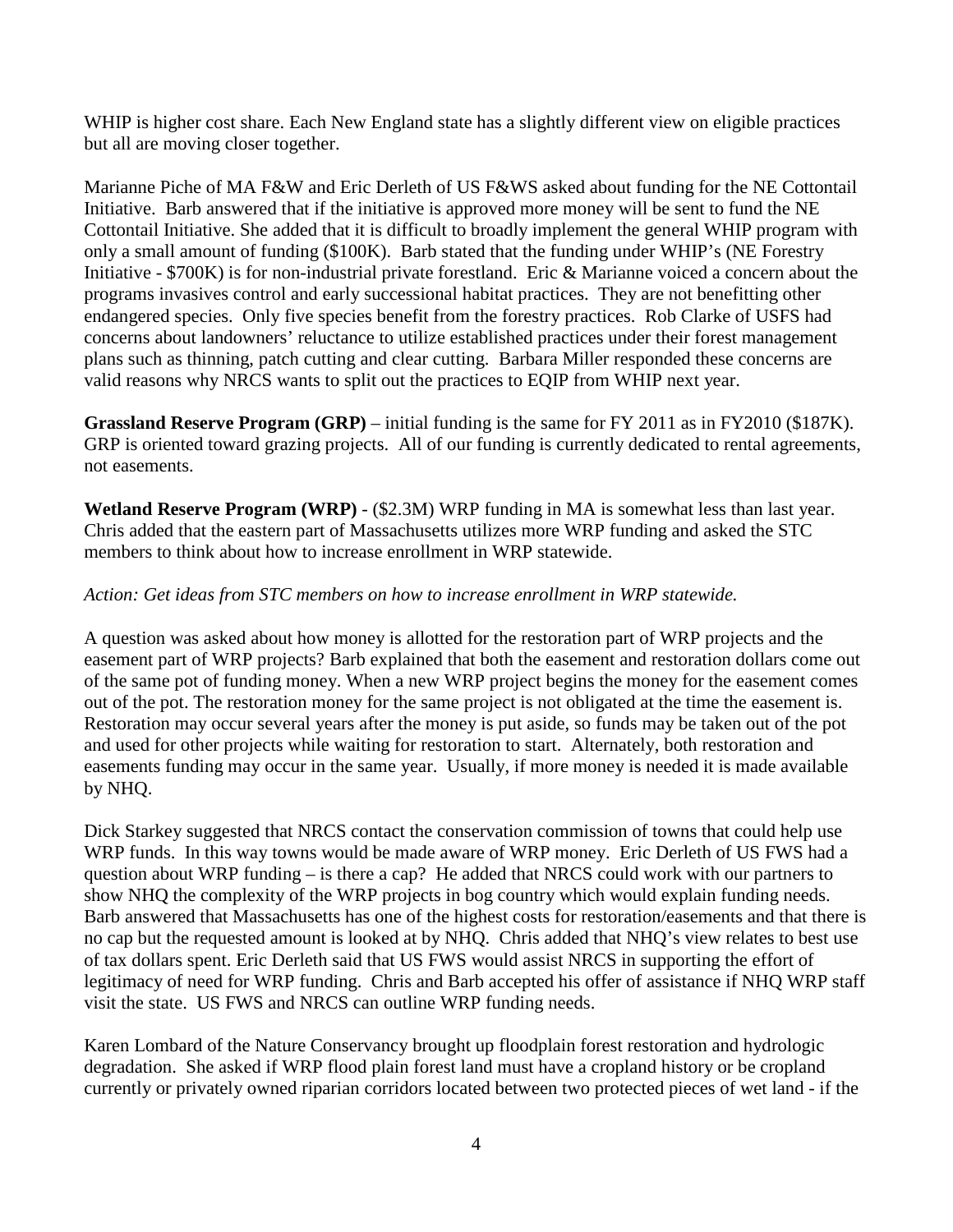WHIP is higher cost share. Each New England state has a slightly different view on eligible practices but all are moving closer together.

Marianne Piche of MA F&W and Eric Derleth of US F&WS asked about funding for the NE Cottontail Initiative. Barb answered that if the initiative is approved more money will be sent to fund the NE Cottontail Initiative. She added that it is difficult to broadly implement the general WHIP program with only a small amount of funding (\$100K). Barb stated that the funding under WHIP's (NE Forestry Initiative - \$700K) is for non-industrial private forestland. Eric & Marianne voiced a concern about the programs invasives control and early successional habitat practices. They are not benefitting other endangered species. Only five species benefit from the forestry practices. Rob Clarke of USFS had concerns about landowners' reluctance to utilize established practices under their forest management plans such as thinning, patch cutting and clear cutting. Barbara Miller responded these concerns are valid reasons why NRCS wants to split out the practices to EQIP from WHIP next year.

**Grassland Reserve Program (GRP)** – initial funding is the same for FY 2011 as in FY2010 (\$187K). GRP is oriented toward grazing projects. All of our funding is currently dedicated to rental agreements, not easements.

**Wetland Reserve Program (WRP)** - (\$2.3M) WRP funding in MA is somewhat less than last year. Chris added that the eastern part of Massachusetts utilizes more WRP funding and asked the STC members to think about how to increase enrollment in WRP statewide.

## *Action: Get ideas from STC members on how to increase enrollment in WRP statewide.*

A question was asked about how money is allotted for the restoration part of WRP projects and the easement part of WRP projects? Barb explained that both the easement and restoration dollars come out of the same pot of funding money. When a new WRP project begins the money for the easement comes out of the pot. The restoration money for the same project is not obligated at the time the easement is. Restoration may occur several years after the money is put aside, so funds may be taken out of the pot and used for other projects while waiting for restoration to start. Alternately, both restoration and easements funding may occur in the same year. Usually, if more money is needed it is made available by NHQ.

Dick Starkey suggested that NRCS contact the conservation commission of towns that could help use WRP funds. In this way towns would be made aware of WRP money. Eric Derleth of US FWS had a question about WRP funding – is there a cap? He added that NRCS could work with our partners to show NHQ the complexity of the WRP projects in bog country which would explain funding needs. Barb answered that Massachusetts has one of the highest costs for restoration/easements and that there is no cap but the requested amount is looked at by NHQ. Chris added that NHQ's view relates to best use of tax dollars spent. Eric Derleth said that US FWS would assist NRCS in supporting the effort of legitimacy of need for WRP funding. Chris and Barb accepted his offer of assistance if NHQ WRP staff visit the state. US FWS and NRCS can outline WRP funding needs.

Karen Lombard of the Nature Conservancy brought up floodplain forest restoration and hydrologic degradation. She asked if WRP flood plain forest land must have a cropland history or be cropland currently or privately owned riparian corridors located between two protected pieces of wet land - if the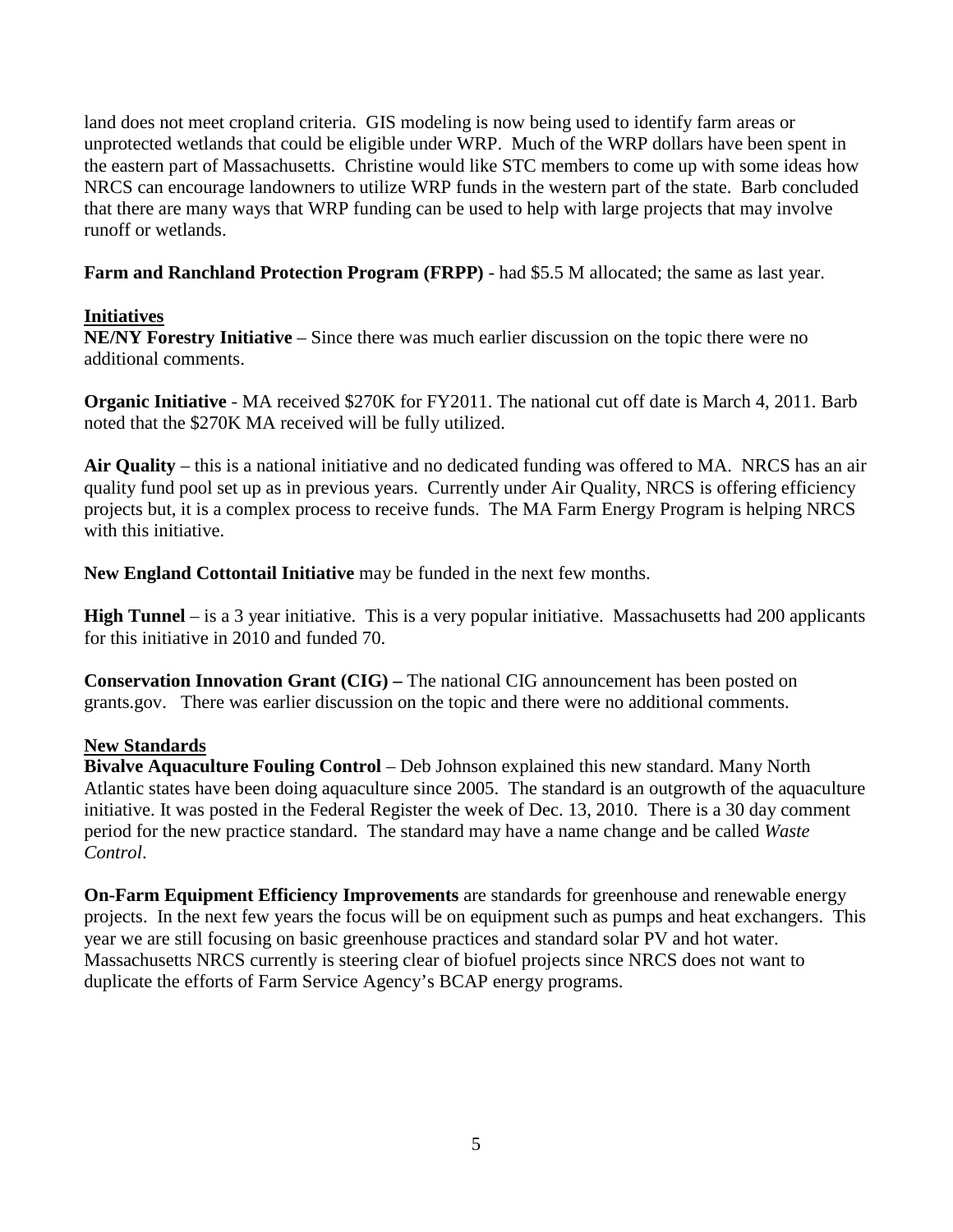land does not meet cropland criteria. GIS modeling is now being used to identify farm areas or unprotected wetlands that could be eligible under WRP. Much of the WRP dollars have been spent in the eastern part of Massachusetts. Christine would like STC members to come up with some ideas how NRCS can encourage landowners to utilize WRP funds in the western part of the state. Barb concluded that there are many ways that WRP funding can be used to help with large projects that may involve runoff or wetlands.

**Farm and Ranchland Protection Program (FRPP)** - had \$5.5 M allocated; the same as last year.

## **Initiatives**

**NE/NY Forestry Initiative** – Since there was much earlier discussion on the topic there were no additional comments.

**Organic Initiative** - MA received \$270K for FY2011. The national cut off date is March 4, 2011. Barb noted that the \$270K MA received will be fully utilized.

**Air Quality** – this is a national initiative and no dedicated funding was offered to MA. NRCS has an air quality fund pool set up as in previous years. Currently under Air Quality, NRCS is offering efficiency projects but, it is a complex process to receive funds. The MA Farm Energy Program is helping NRCS with this initiative.

**New England Cottontail Initiative** may be funded in the next few months.

**High Tunnel** – is a 3 year initiative. This is a very popular initiative. Massachusetts had 200 applicants for this initiative in 2010 and funded 70.

**Conservation Innovation Grant (CIG) –** The national CIG announcement has been posted on grants.gov. There was earlier discussion on the topic and there were no additional comments.

#### **New Standards**

**Bivalve Aquaculture Fouling Control** – Deb Johnson explained this new standard. Many North Atlantic states have been doing aquaculture since 2005. The standard is an outgrowth of the aquaculture initiative. It was posted in the Federal Register the week of Dec. 13, 2010. There is a 30 day comment period for the new practice standard. The standard may have a name change and be called *Waste Control*.

**On-Farm Equipment Efficiency Improvements** are standards for greenhouse and renewable energy projects. In the next few years the focus will be on equipment such as pumps and heat exchangers. This year we are still focusing on basic greenhouse practices and standard solar PV and hot water. Massachusetts NRCS currently is steering clear of biofuel projects since NRCS does not want to duplicate the efforts of Farm Service Agency's BCAP energy programs.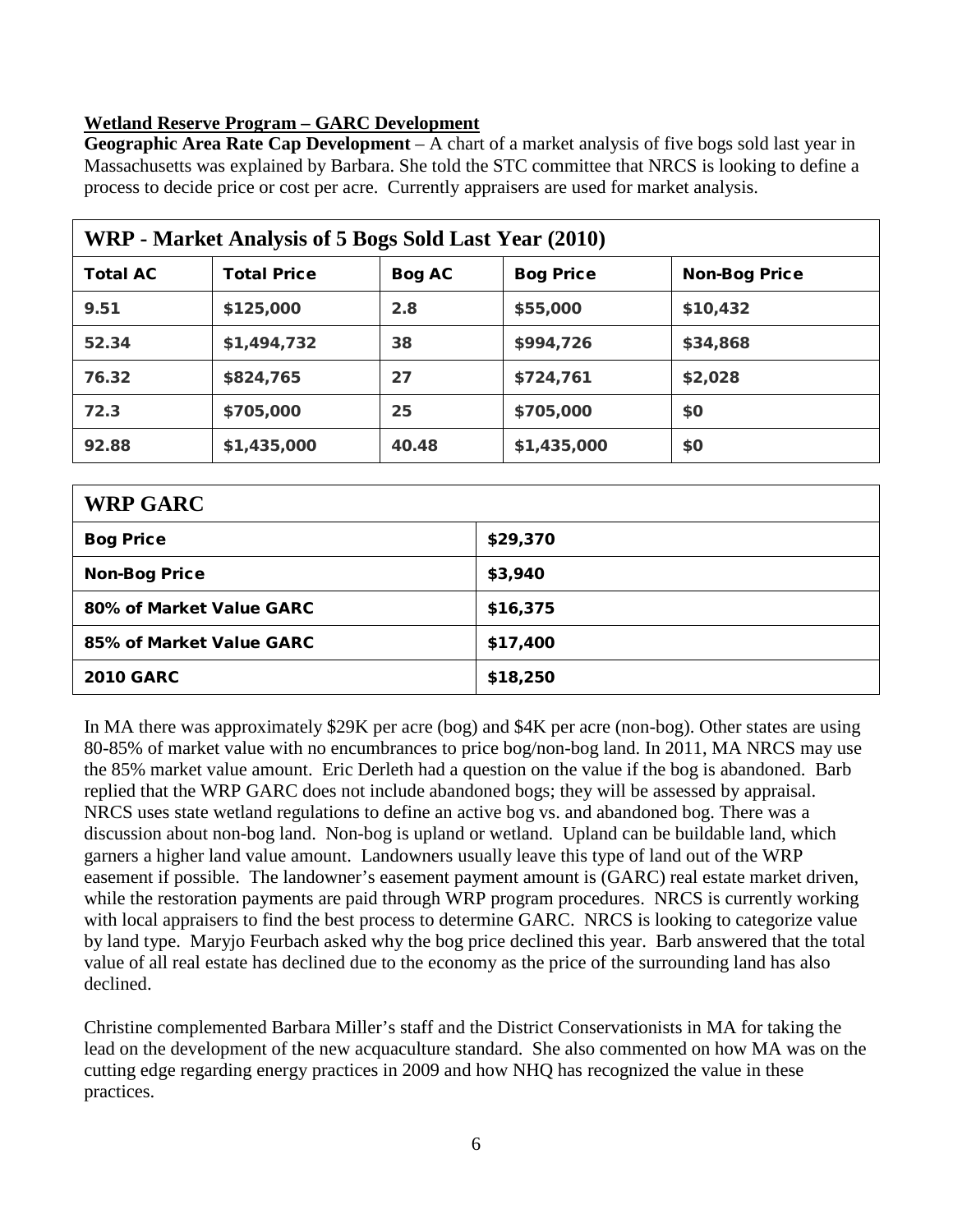## **Wetland Reserve Program – GARC Development**

**Geographic Area Rate Cap Development** – A chart of a market analysis of five bogs sold last year in Massachusetts was explained by Barbara. She told the STC committee that NRCS is looking to define a process to decide price or cost per acre. Currently appraisers are used for market analysis.

| WRP - Market Analysis of 5 Bogs Sold Last Year (2010) |                    |               |                  |                      |  |
|-------------------------------------------------------|--------------------|---------------|------------------|----------------------|--|
| <b>Total AC</b>                                       | <b>Total Price</b> | <b>Bog AC</b> | <b>Bog Price</b> | <b>Non-Bog Price</b> |  |
| 9.51                                                  | \$125,000          | 2.8           | \$55,000         | \$10,432             |  |
| 52.34                                                 | \$1,494,732        | 38            | \$994,726        | \$34,868             |  |
| 76.32                                                 | \$824,765          | 27            | \$724,761        | \$2,028              |  |
| 72.3                                                  | \$705,000          | 25            | \$705,000        | \$0                  |  |
| 92.88                                                 | \$1,435,000        | 40.48         | \$1,435,000      | \$0                  |  |

| <b>WRP GARC</b>          |          |  |
|--------------------------|----------|--|
| <b>Bog Price</b>         | \$29,370 |  |
| <b>Non-Bog Price</b>     | \$3,940  |  |
| 80% of Market Value GARC | \$16,375 |  |
| 85% of Market Value GARC | \$17,400 |  |
| <b>2010 GARC</b>         | \$18,250 |  |

In MA there was approximately \$29K per acre (bog) and \$4K per acre (non-bog). Other states are using 80-85% of market value with no encumbrances to price bog/non-bog land. In 2011, MA NRCS may use the 85% market value amount. Eric Derleth had a question on the value if the bog is abandoned. Barb replied that the WRP GARC does not include abandoned bogs; they will be assessed by appraisal. NRCS uses state wetland regulations to define an active bog vs. and abandoned bog. There was a discussion about non-bog land. Non-bog is upland or wetland. Upland can be buildable land, which garners a higher land value amount. Landowners usually leave this type of land out of the WRP easement if possible. The landowner's easement payment amount is (GARC) real estate market driven, while the restoration payments are paid through WRP program procedures. NRCS is currently working with local appraisers to find the best process to determine GARC. NRCS is looking to categorize value by land type. Maryjo Feurbach asked why the bog price declined this year. Barb answered that the total value of all real estate has declined due to the economy as the price of the surrounding land has also declined.

Christine complemented Barbara Miller's staff and the District Conservationists in MA for taking the lead on the development of the new acquaculture standard. She also commented on how MA was on the cutting edge regarding energy practices in 2009 and how NHQ has recognized the value in these practices.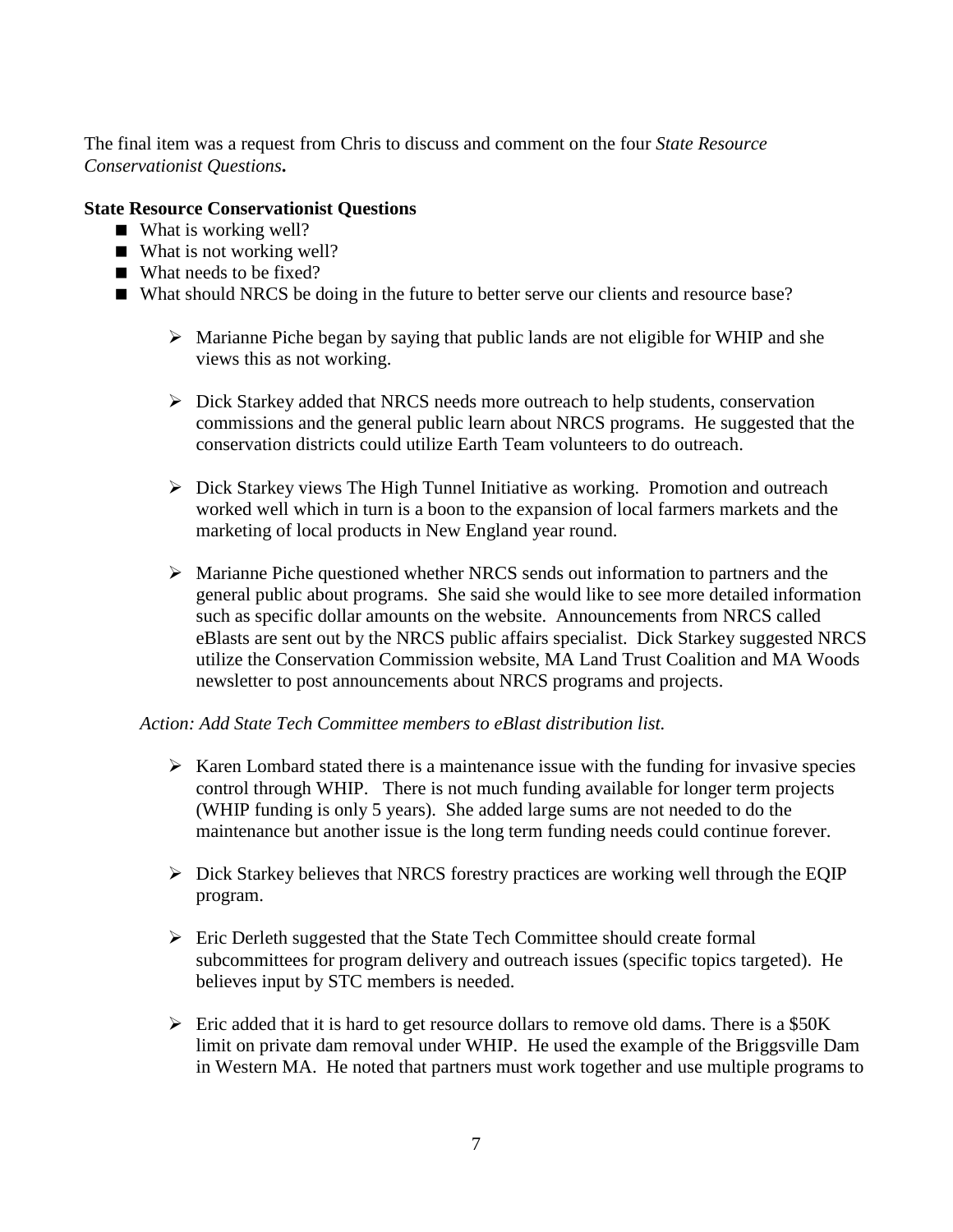The final item was a request from Chris to discuss and comment on the four *State Resource Conservationist Questions***.**

#### **State Resource Conservationist Questions**

- What is working well?
- What is not working well?
- What needs to be fixed?
- What should NRCS be doing in the future to better serve our clients and resource base?
	- $\triangleright$  Marianne Piche began by saying that public lands are not eligible for WHIP and she views this as not working.
	- $\triangleright$  Dick Starkey added that NRCS needs more outreach to help students, conservation commissions and the general public learn about NRCS programs. He suggested that the conservation districts could utilize Earth Team volunteers to do outreach.
	- $\triangleright$  Dick Starkey views The High Tunnel Initiative as working. Promotion and outreach worked well which in turn is a boon to the expansion of local farmers markets and the marketing of local products in New England year round.
	- Marianne Piche questioned whether NRCS sends out information to partners and the general public about programs. She said she would like to see more detailed information such as specific dollar amounts on the website. Announcements from NRCS called eBlasts are sent out by the NRCS public affairs specialist. Dick Starkey suggested NRCS utilize the Conservation Commission website, MA Land Trust Coalition and MA Woods newsletter to post announcements about NRCS programs and projects.

#### *Action: Add State Tech Committee members to eBlast distribution list.*

- $\triangleright$  Karen Lombard stated there is a maintenance issue with the funding for invasive species control through WHIP. There is not much funding available for longer term projects (WHIP funding is only 5 years). She added large sums are not needed to do the maintenance but another issue is the long term funding needs could continue forever.
- $\triangleright$  Dick Starkey believes that NRCS forestry practices are working well through the EQIP program.
- $\triangleright$  Eric Derleth suggested that the State Tech Committee should create formal subcommittees for program delivery and outreach issues (specific topics targeted). He believes input by STC members is needed.
- $\triangleright$  Eric added that it is hard to get resource dollars to remove old dams. There is a \$50K limit on private dam removal under WHIP. He used the example of the Briggsville Dam in Western MA. He noted that partners must work together and use multiple programs to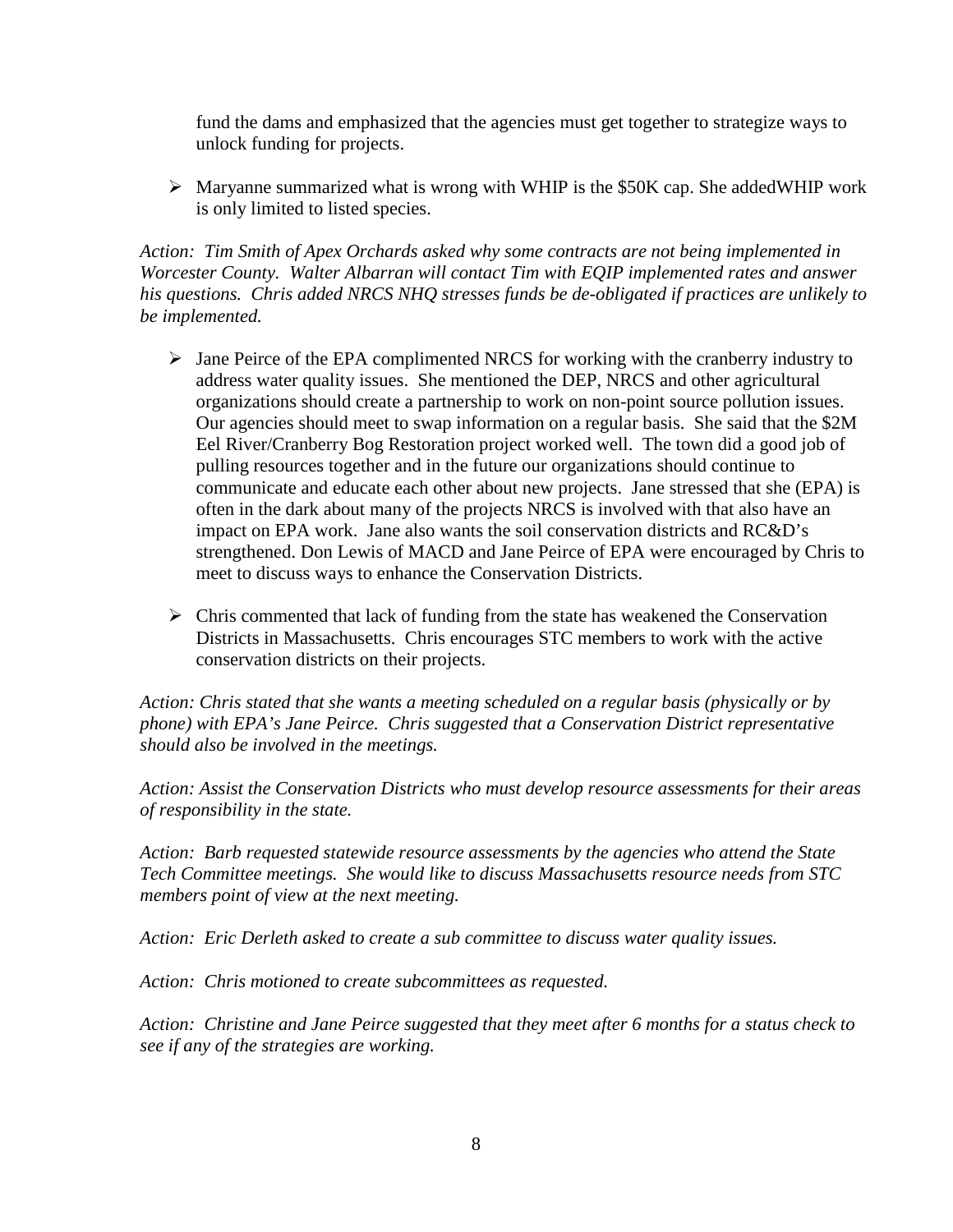fund the dams and emphasized that the agencies must get together to strategize ways to unlock funding for projects.

 $\triangleright$  Maryanne summarized what is wrong with WHIP is the \$50K cap. She addedWHIP work is only limited to listed species.

*Action: Tim Smith of Apex Orchards asked why some contracts are not being implemented in Worcester County. Walter Albarran will contact Tim with EQIP implemented rates and answer his questions. Chris added NRCS NHQ stresses funds be de-obligated if practices are unlikely to be implemented.*

- $\triangleright$  Jane Peirce of the EPA complimented NRCS for working with the cranberry industry to address water quality issues. She mentioned the DEP, NRCS and other agricultural organizations should create a partnership to work on non-point source pollution issues. Our agencies should meet to swap information on a regular basis. She said that the \$2M Eel River/Cranberry Bog Restoration project worked well. The town did a good job of pulling resources together and in the future our organizations should continue to communicate and educate each other about new projects. Jane stressed that she (EPA) is often in the dark about many of the projects NRCS is involved with that also have an impact on EPA work. Jane also wants the soil conservation districts and RC&D's strengthened. Don Lewis of MACD and Jane Peirce of EPA were encouraged by Chris to meet to discuss ways to enhance the Conservation Districts.
- $\triangleright$  Chris commented that lack of funding from the state has weakened the Conservation Districts in Massachusetts. Chris encourages STC members to work with the active conservation districts on their projects.

*Action: Chris stated that she wants a meeting scheduled on a regular basis (physically or by phone) with EPA's Jane Peirce. Chris suggested that a Conservation District representative should also be involved in the meetings.*

*Action: Assist the Conservation Districts who must develop resource assessments for their areas of responsibility in the state.*

*Action: Barb requested statewide resource assessments by the agencies who attend the State Tech Committee meetings. She would like to discuss Massachusetts resource needs from STC members point of view at the next meeting.* 

*Action: Eric Derleth asked to create a sub committee to discuss water quality issues.*

*Action: Chris motioned to create subcommittees as requested.* 

*Action: Christine and Jane Peirce suggested that they meet after 6 months for a status check to see if any of the strategies are working.*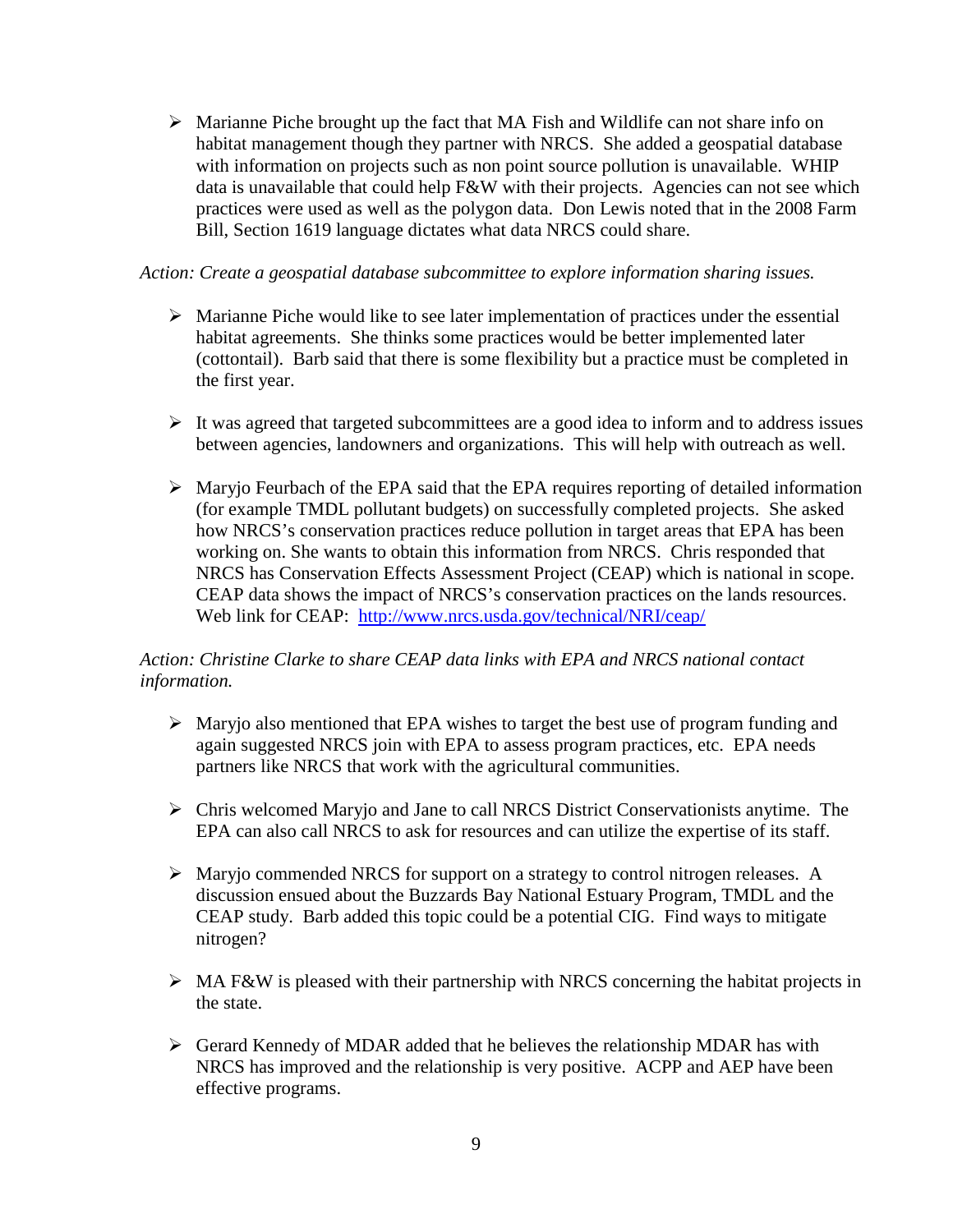$\triangleright$  Marianne Piche brought up the fact that MA Fish and Wildlife can not share info on habitat management though they partner with NRCS. She added a geospatial database with information on projects such as non point source pollution is unavailable. WHIP data is unavailable that could help F&W with their projects. Agencies can not see which practices were used as well as the polygon data. Don Lewis noted that in the 2008 Farm Bill, Section 1619 language dictates what data NRCS could share.

#### *Action: Create a geospatial database subcommittee to explore information sharing issues.*

- $\triangleright$  Marianne Piche would like to see later implementation of practices under the essential habitat agreements. She thinks some practices would be better implemented later (cottontail). Barb said that there is some flexibility but a practice must be completed in the first year.
- $\triangleright$  It was agreed that targeted subcommittees are a good idea to inform and to address issues between agencies, landowners and organizations. This will help with outreach as well.
- $\triangleright$  Maryjo Feurbach of the EPA said that the EPA requires reporting of detailed information (for example TMDL pollutant budgets) on successfully completed projects. She asked how NRCS's conservation practices reduce pollution in target areas that EPA has been working on. She wants to obtain this information from NRCS. Chris responded that NRCS has Conservation Effects Assessment Project (CEAP) which is national in scope. CEAP data shows the impact of NRCS's conservation practices on the lands resources. Web link for CEAP: <http://www.nrcs.usda.gov/technical/NRI/ceap/>

## *Action: Christine Clarke to share CEAP data links with EPA and NRCS national contact information.*

- $\triangleright$  Maryjo also mentioned that EPA wishes to target the best use of program funding and again suggested NRCS join with EPA to assess program practices, etc. EPA needs partners like NRCS that work with the agricultural communities.
- $\triangleright$  Chris welcomed Maryjo and Jane to call NRCS District Conservationists anytime. The EPA can also call NRCS to ask for resources and can utilize the expertise of its staff.
- $\triangleright$  Maryjo commended NRCS for support on a strategy to control nitrogen releases. A discussion ensued about the Buzzards Bay National Estuary Program, TMDL and the CEAP study. Barb added this topic could be a potential CIG. Find ways to mitigate nitrogen?
- $\triangleright$  MA F&W is pleased with their partnership with NRCS concerning the habitat projects in the state.
- $\triangleright$  Gerard Kennedy of MDAR added that he believes the relationship MDAR has with NRCS has improved and the relationship is very positive. ACPP and AEP have been effective programs.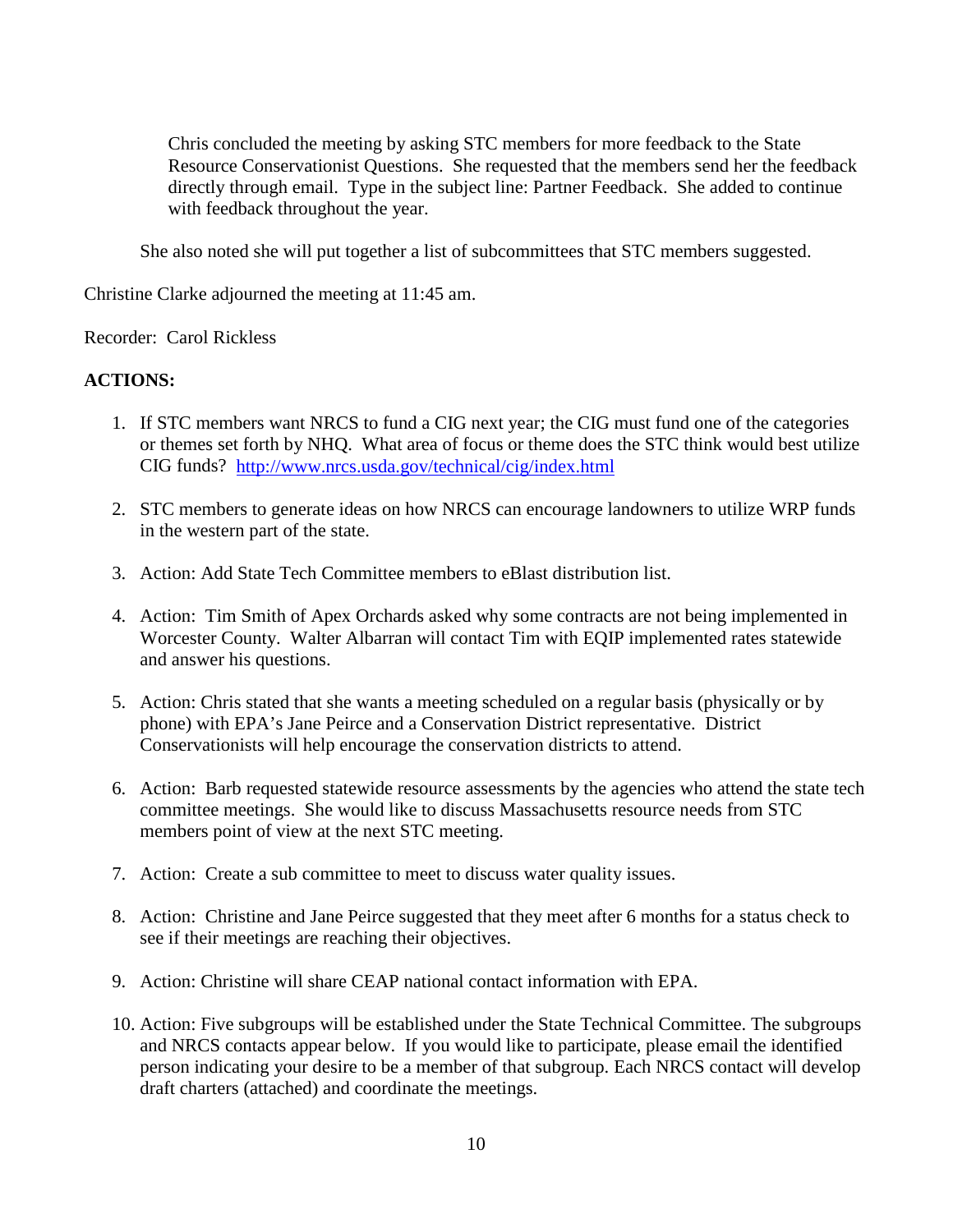Chris concluded the meeting by asking STC members for more feedback to the State Resource Conservationist Questions. She requested that the members send her the feedback directly through email. Type in the subject line: Partner Feedback. She added to continue with feedback throughout the year.

She also noted she will put together a list of subcommittees that STC members suggested.

Christine Clarke adjourned the meeting at 11:45 am.

Recorder: Carol Rickless

## **ACTIONS:**

- 1. If STC members want NRCS to fund a CIG next year; the CIG must fund one of the categories or themes set forth by NHQ. What area of focus or theme does the STC think would best utilize CIG funds? <http://www.nrcs.usda.gov/technical/cig/index.html>
- 2. STC members to generate ideas on how NRCS can encourage landowners to utilize WRP funds in the western part of the state.
- 3. Action: Add State Tech Committee members to eBlast distribution list.
- 4. Action: Tim Smith of Apex Orchards asked why some contracts are not being implemented in Worcester County. Walter Albarran will contact Tim with EQIP implemented rates statewide and answer his questions.
- 5. Action: Chris stated that she wants a meeting scheduled on a regular basis (physically or by phone) with EPA's Jane Peirce and a Conservation District representative. District Conservationists will help encourage the conservation districts to attend.
- 6. Action: Barb requested statewide resource assessments by the agencies who attend the state tech committee meetings. She would like to discuss Massachusetts resource needs from STC members point of view at the next STC meeting.
- 7. Action: Create a sub committee to meet to discuss water quality issues.
- 8. Action: Christine and Jane Peirce suggested that they meet after 6 months for a status check to see if their meetings are reaching their objectives.
- 9. Action: Christine will share CEAP national contact information with EPA.
- 10. Action: Five subgroups will be established under the State Technical Committee. The subgroups and NRCS contacts appear below. If you would like to participate, please email the identified person indicating your desire to be a member of that subgroup. Each NRCS contact will develop draft charters (attached) and coordinate the meetings.